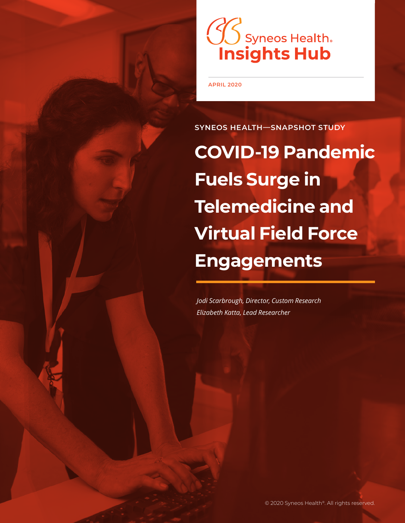# **CO Syneos Health.**<br>**Insights Hub**

**APRIL 2020**

**SYNEOS HEALTH—SNAPSHOT STUDY**

**COVID-19 Pandemic Fuels Surge in Telemedicine and Virtual Field Force Engagements**

*Jodi Scarbrough, Director, Custom Research Elizabeth Katta, Lead Researcher*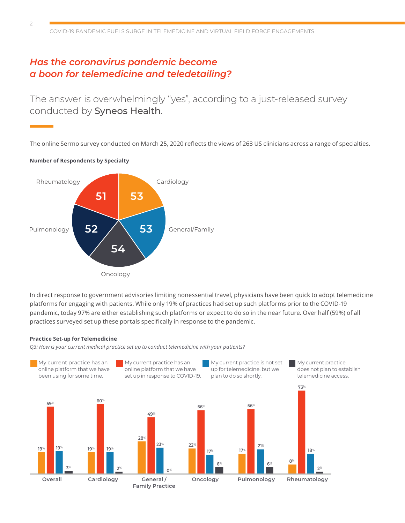#### *Has the coronavirus pandemic become a boon for telemedicine and teledetailing?*

The answer is overwhelmingly "yes", according to a just-released survey conducted by Syneos Health.

The online Sermo survey conducted on March 25, 2020 reflects the views of 263 US clinicians across a range of specialties.



In direct response to government advisories limiting nonessential travel, physicians have been quick to adopt telemedicine platforms for engaging with patients. While only 19% of practices had set up such platforms prior to the COVID-19 pandemic, today 97% are either establishing such platforms or expect to do so in the near future. Over half (59%) of all practices surveyed set up these portals specifically in response to the pandemic.

#### **Practice Set-up for Telemedicine**

*Q3: How is your current medical practice set up to conduct telemedicine with your patients?*

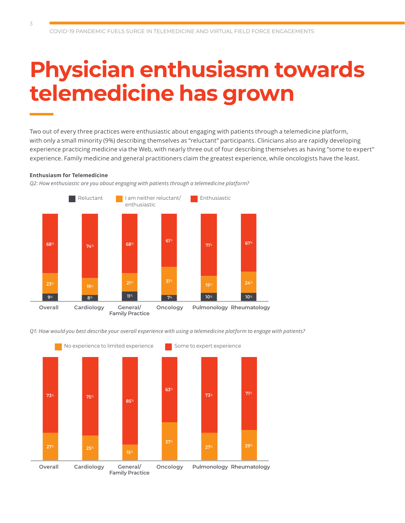#### **Physician enthusiasm towards telemedicine has grown**

Two out of every three practices were enthusiastic about engaging with patients through a telemedicine platform, with only a small minority (9%) describing themselves as "reluctant" participants. Clinicians also are rapidly developing experience practicing medicine via the Web, with nearly three out of four describing themselves as having "some to expert" experience. Family medicine and general practitioners claim the greatest experience, while oncologists have the least.

#### **Enthusiasm for Telemedicine**

*Q2: How enthusiastic are you about engaging with patients through a telemedicine platform?*



*Q1: How would you best describe your overall experience with using a telemedicine platform to engage with patients?*

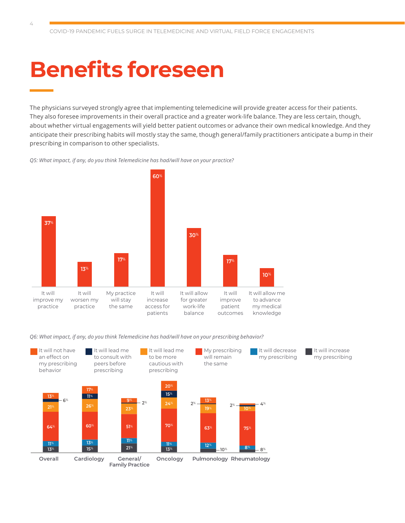# **Benefits foreseen**

 $\angle$ 

The physicians surveyed strongly agree that implementing telemedicine will provide greater access for their patients. They also foresee improvements in their overall practice and a greater work-life balance. They are less certain, though, about whether virtual engagements will yield better patient outcomes or advance their own medical knowledge. And they anticipate their prescribing habits will mostly stay the same, though general/family practitioners anticipate a bump in their prescribing in comparison to other specialists.

> It will increase my prescribing

*Q5: What impact, if any, do you think Telemedicine has had/will have on your practice?*



*Q6: What impact, if any, do you think Telemedicine has had/will have on your prescribing behavior?*

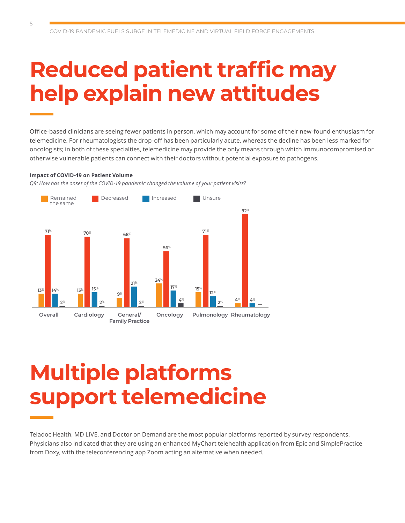## **Reduced patient traffic may help explain new attitudes**

Office-based clinicians are seeing fewer patients in person, which may account for some of their new-found enthusiasm for telemedicine. For rheumatologists the drop-off has been particularly acute, whereas the decline has been less marked for oncologists; in both of these specialties, telemedicine may provide the only means through which immunocompromised or otherwise vulnerable patients can connect with their doctors without potential exposure to pathogens.

#### **Impact of COVID-19 on Patient Volume**

*Q9: How has the onset of the COVID-19 pandemic changed the volume of your patient visits?*



#### **Multiple platforms support telemedicine**

Teladoc Health, MD LIVE, and Doctor on Demand are the most popular platforms reported by survey respondents. Physicians also indicated that they are using an enhanced MyChart telehealth application from Epic and SimplePractice from Doxy, with the teleconferencing app Zoom acting an alternative when needed.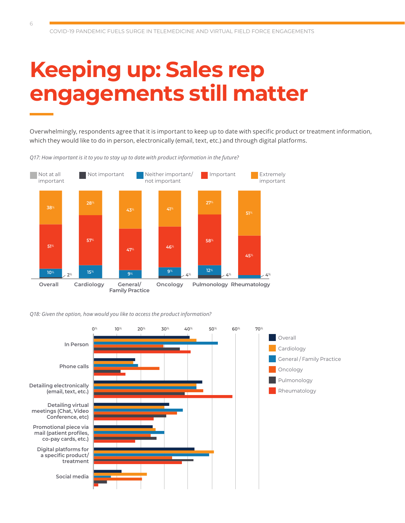# **Keeping up: Sales rep engagements still matter**

Overwhelmingly, respondents agree that it is important to keep up to date with specific product or treatment information, which they would like to do in person, electronically (email, text, etc.) and through digital platforms.

*Q17: How important is it to you to stay up to date with product information in the future?*



*Q18: Given the option, how would you like to access the product information?*

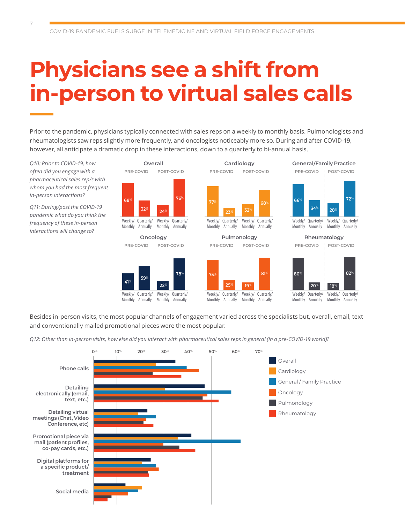# **Physicians see a shift from in-person to virtual sales calls**

Prior to the pandemic, physicians typically connected with sales reps on a weekly to monthly basis. Pulmonologists and rheumatologists saw reps slightly more frequently, and oncologists noticeably more so. During and after COVID-19, however, all anticipate a dramatic drop in these interactions, down to a quarterly to bi-annual basis.

*Q10: Prior to COVID-19, how often did you engage with a pharmaceutical sales rep/s with whom you had the most frequent in-person interactions?*

*Q11: During/post the COVID-19 pandemic what do you think the frequency of these in-person interactions will change to?*



Weekly/ Monthly Annually Quarterly/

Weekly/ Quarterly/ Monthly Annually

**Overall Cardiology General/Family Practice** Weekly/ Quarterly/ Weekly/ Quarterly/ **77**% **<sup>23</sup>**% **<sup>32</sup>**% **<sup>68</sup>**% **<sup>66</sup>**%

> Monthly Annually Monthly Annually



**72**%

Weekly/ Quarterly/ Monthly Annually Weekly/ Quarterly/ Monthly Annually **34**% **28**%



Besides in-person visits, the most popular channels of engagement varied across the specialists but, overall, email, text and conventionally mailed promotional pieces were the most popular.

*Q12: Other than in-person visits, how else did you interact with pharmaceutical sales reps in general (in a pre-COVID-19 world)?*

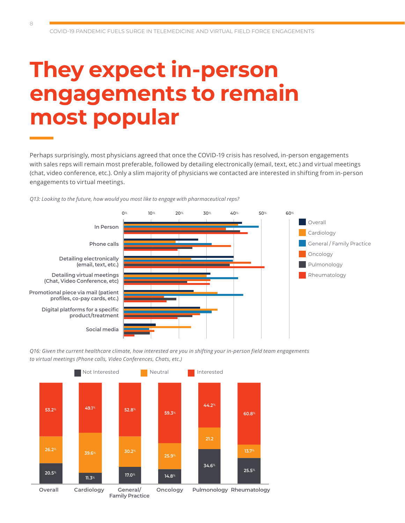### **They expect in-person engagements to remain most popular**

Perhaps surprisingly, most physicians agreed that once the COVID-19 crisis has resolved, in-person engagements with sales reps will remain most preferable, followed by detailing electronically (email, text, etc.) and virtual meetings (chat, video conference, etc.). Only a slim majority of physicians we contacted are interested in shifting from in-person engagements to virtual meetings.







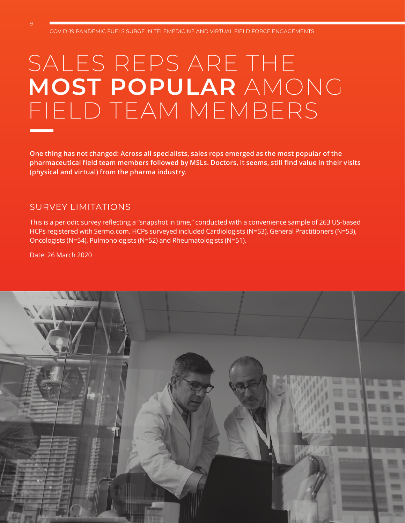## SALES REPS ARE THE **MOST POPULAR** AMONG FIELD TEAM MEMBERS

**One thing has not changed: Across all specialists, sales reps emerged as the most popular of the pharmaceutical field team members followed by MSLs. Doctors, it seems, still find value in their visits (physical and virtual) from the pharma industry.**

#### SURVEY LIMITATIONS

This is a periodic survey reflecting a "snapshot in time," conducted with a convenience sample of 263 US-based HCPs registered with Sermo.com. HCPs surveyed included Cardiologists (N=53), General Practitioners (N=53), Oncologists (N=54), Pulmonologists (N=52) and Rheumatologists (N=51).

Date: 26 March 2020

9